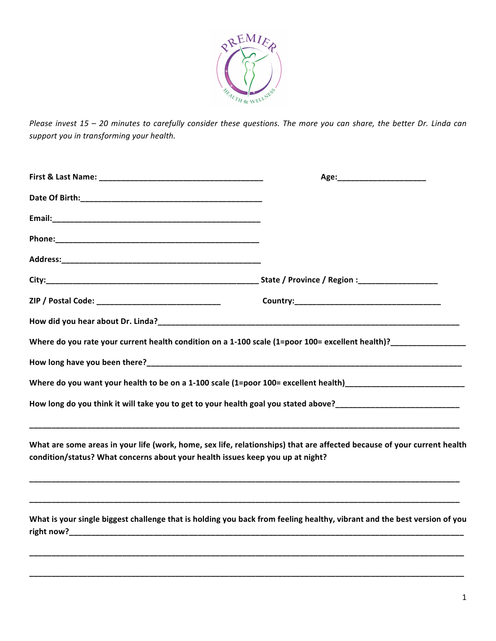

*Please invest* 15 - 20 minutes to carefully consider these questions. The more you can share, the better Dr. Linda can support you in transforming your health.

|                                                                                                                                                                                                                                | Age:_________________________ |  |  |
|--------------------------------------------------------------------------------------------------------------------------------------------------------------------------------------------------------------------------------|-------------------------------|--|--|
| Date Of Birth: National Accounts and Accounts are also been accounted by the United States and Accounts are also been accounted by the United States and Accounts are also been accounted by the United States and Accounts ar |                               |  |  |
|                                                                                                                                                                                                                                |                               |  |  |
|                                                                                                                                                                                                                                |                               |  |  |
|                                                                                                                                                                                                                                |                               |  |  |
|                                                                                                                                                                                                                                |                               |  |  |
| Where do you rate your current health condition on a 1-100 scale (1=poor 100= excellent health)?______________                                                                                                                 |                               |  |  |
|                                                                                                                                                                                                                                |                               |  |  |
| Where do you want your health to be on a 1-100 scale (1=poor 100= excellent health) __________________________                                                                                                                 |                               |  |  |
|                                                                                                                                                                                                                                |                               |  |  |
| What are some areas in your life (work, home, sex life, relationships) that are affected because of your current health<br>condition/status? What concerns about your health issues keep you up at night?                      |                               |  |  |
| What is your single biggest challenge that is holding you back from feeling healthy, vibrant and the best version of you                                                                                                       |                               |  |  |

**\_\_\_\_\_\_\_\_\_\_\_\_\_\_\_\_\_\_\_\_\_\_\_\_\_\_\_\_\_\_\_\_\_\_\_\_\_\_\_\_\_\_\_\_\_\_\_\_\_\_\_\_\_\_\_\_\_\_\_\_\_\_\_\_\_\_\_\_\_\_\_\_\_\_\_\_\_\_\_\_\_\_\_\_\_\_\_\_\_\_\_\_\_\_\_\_\_\_**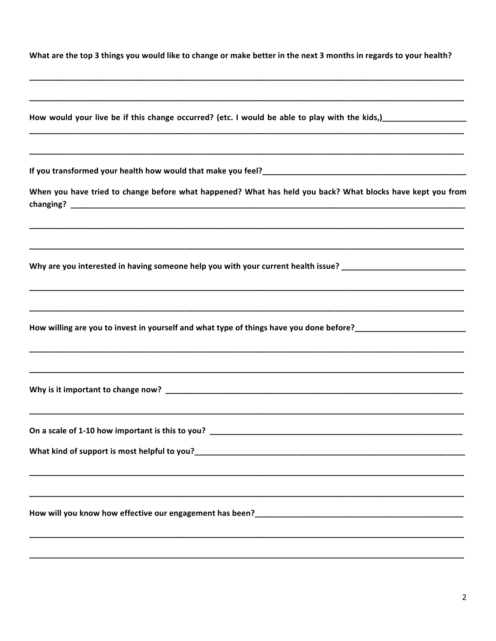| What are the top 3 things you would like to change or make better in the next 3 months in regards to your health? |  |
|-------------------------------------------------------------------------------------------------------------------|--|
|-------------------------------------------------------------------------------------------------------------------|--|

| How would your live be if this change occurred? (etc. I would be able to play with the kids,)_________________ |
|----------------------------------------------------------------------------------------------------------------|
| ,我们也不能会在这里的,我们也不能会在这里的,我们也不能会在这里的,我们也不能会在这里,我们也不能会在这里的。""我们,我们也不能会不能会不能会不能会不能会不能                               |
| When you have tried to change before what happened? What has held you back? What blocks have kept you from     |
| Why are you interested in having someone help you with your current health issue? ____________________________ |
| How willing are you to invest in yourself and what type of things have you done before?_______________________ |
|                                                                                                                |
| What kind of support is most helpful to you?                                                                   |
|                                                                                                                |
|                                                                                                                |
|                                                                                                                |